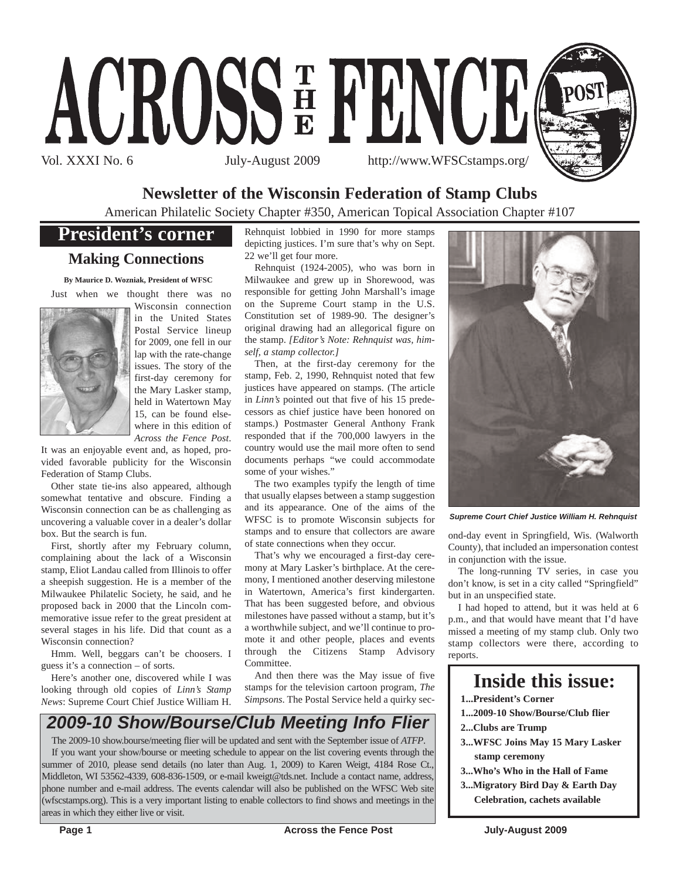



### **Newsletter of the Wisconsin Federation of Stamp Clubs**

American Philatelic Society Chapter #350, American Topical Association Chapter #107

### **President's corner**

#### **Making Connections**

**By Maurice D. Wozniak, President of WFSC**

Just when we thought there was no



Wisconsin connection in the United States Postal Service lineup for 2009, one fell in our lap with the rate-change issues. The story of the first-day ceremony for the Mary Lasker stamp, held in Watertown May 15, can be found elsewhere in this edition of *Across the Fence Post*.

It was an enjoyable event and, as hoped, provided favorable publicity for the Wisconsin Federation of Stamp Clubs.

Other state tie-ins also appeared, although somewhat tentative and obscure. Finding a Wisconsin connection can be as challenging as uncovering a valuable cover in a dealer's dollar box. But the search is fun.

First, shortly after my February column, complaining about the lack of a Wisconsin stamp, Eliot Landau called from Illinois to offer a sheepish suggestion. He is a member of the Milwaukee Philatelic Society, he said, and he proposed back in 2000 that the Lincoln commemorative issue refer to the great president at several stages in his life. Did that count as a Wisconsin connection?

Hmm. Well, beggars can't be choosers. I guess it's a connection – of sorts.

Here's another one, discovered while I was looking through old copies of *Linn's Stamp News*: Supreme Court Chief Justice William H. Rehnquist lobbied in 1990 for more stamps depicting justices. I'm sure that's why on Sept. 22 we'll get four more.

Rehnquist (1924-2005), who was born in Milwaukee and grew up in Shorewood, was responsible for getting John Marshall's image on the Supreme Court stamp in the U.S. Constitution set of 1989-90. The designer's original drawing had an allegorical figure on the stamp. *[Editor's Note: Rehnquist was, himself, a stamp collector.]*

Then, at the first-day ceremony for the stamp, Feb. 2, 1990, Rehnquist noted that few justices have appeared on stamps. (The article in *Linn's* pointed out that five of his 15 predecessors as chief justice have been honored on stamps.) Postmaster General Anthony Frank responded that if the 700,000 lawyers in the country would use the mail more often to send documents perhaps "we could accommodate some of your wishes."

The two examples typify the length of time that usually elapses between a stamp suggestion and its appearance. One of the aims of the WFSC is to promote Wisconsin subjects for stamps and to ensure that collectors are aware of state connections when they occur.

That's why we encouraged a first-day ceremony at Mary Lasker's birthplace. At the ceremony, I mentioned another deserving milestone in Watertown, America's first kindergarten. That has been suggested before, and obvious milestones have passed without a stamp, but it's a worthwhile subject, and we'll continue to promote it and other people, places and events through the Citizens Stamp Advisory Committee.

And then there was the May issue of five stamps for the television cartoon program, *The Simpsons*. The Postal Service held a quirky sec-

# *2009-10 Show/Bourse/Club Meeting Info Flier*

The 2009-10 show.bourse/meeting flier will be updated and sent with the September issue of *ATFP*. If you want your show/bourse or meeting schedule to appear on the list covering events through the summer of 2010, please send details (no later than Aug. 1, 2009) to Karen Weigt, 4184 Rose Ct., Middleton, WI 53562-4339, 608-836-1509, or e-mail kweigt@tds.net. Include a contact name, address, phone number and e-mail address. The events calendar will also be published on the WFSC Web site (wfscstamps.org). This is a very important listing to enable collectors to find shows and meetings in the areas in which they either live or visit.



*Supreme Court Chief Justice William H. Rehnquist*

ond-day event in Springfield, Wis. (Walworth County), that included an impersonation contest in conjunction with the issue.

The long-running TV series, in case you don't know, is set in a city called "Springfield" but in an unspecified state.

I had hoped to attend, but it was held at 6 p.m., and that would have meant that I'd have missed a meeting of my stamp club. Only two stamp collectors were there, according to reports.

# **Inside this issue:**

- **1...President's Corner**
- **1...2009-10 Show/Bourse/Club flier**
- **2...Clubs are Trump**
- **3...WFSC Joins May 15 Mary Lasker stamp ceremony**
- **3...Who's Who in the Hall of Fame**
- **3...Migratory Bird Day & Earth Day Celebration, cachets available**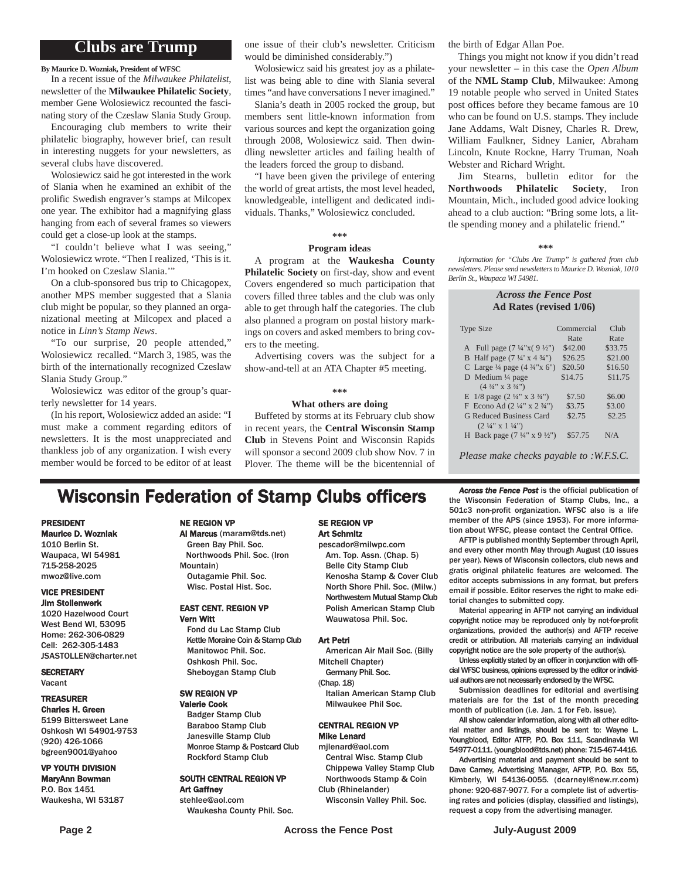#### **Clubs are Trump**

**By Maurice D. Wozniak, President of WFSC**

In a recent issue of the *Milwaukee Philatelist*, newsletter of the **Milwaukee Philatelic Society**, member Gene Wolosiewicz recounted the fascinating story of the Czeslaw Slania Study Group.

Encouraging club members to write their philatelic biography, however brief, can result in interesting nuggets for your newsletters, as several clubs have discovered.

Wolosiewicz said he got interested in the work of Slania when he examined an exhibit of the prolific Swedish engraver's stamps at Milcopex one year. The exhibitor had a magnifying glass hanging from each of several frames so viewers could get a close-up look at the stamps.

"I couldn't believe what I was seeing," Wolosiewicz wrote. "Then I realized, 'This is it. I'm hooked on Czeslaw Slania.'"

On a club-sponsored bus trip to Chicagopex, another MPS member suggested that a Slania club might be popular, so they planned an organizational meeting at Milcopex and placed a notice in *Linn's Stamp News*.

"To our surprise, 20 people attended," Wolosiewicz recalled. "March 3, 1985, was the birth of the internationally recognized Czeslaw Slania Study Group."

Wolosiewicz was editor of the group's quarterly newsletter for 14 years.

(In his report, Wolosiewicz added an aside: "I must make a comment regarding editors of newsletters. It is the most unappreciated and thankless job of any organization. I wish every member would be forced to be editor of at least

one issue of their club's newsletter. Criticism would be diminished considerably.")

Wolosiewicz said his greatest joy as a philatelist was being able to dine with Slania several times "and have conversations I never imagined."

Slania's death in 2005 rocked the group, but members sent little-known information from various sources and kept the organization going through 2008, Wolosiewicz said. Then dwindling newsletter articles and failing health of the leaders forced the group to disband.

"I have been given the privilege of entering the world of great artists, the most level headed, knowledgeable, intelligent and dedicated individuals. Thanks," Wolosiewicz concluded.

#### **\*\*\***

#### **Program ideas**

A program at the **Waukesha County Philatelic Society** on first-day, show and event Covers engendered so much participation that covers filled three tables and the club was only able to get through half the categories. The club also planned a program on postal history markings on covers and asked members to bring covers to the meeting.

Advertising covers was the subject for a show-and-tell at an ATA Chapter #5 meeting.

#### **\*\*\***

#### **What others are doing**

Buffeted by storms at its February club show in recent years, the **Central Wisconsin Stamp Club** in Stevens Point and Wisconsin Rapids will sponsor a second 2009 club show Nov. 7 in Plover. The theme will be the bicentennial of the birth of Edgar Allan Poe.

Things you might not know if you didn't read your newsletter – in this case the *Open Album* of the **NML Stamp Club**, Milwaukee: Among 19 notable people who served in United States post offices before they became famous are 10 who can be found on U.S. stamps. They include Jane Addams, Walt Disney, Charles R. Drew, William Faulkner, Sidney Lanier, Abraham Lincoln, Knute Rockne, Harry Truman, Noah Webster and Richard Wright.

Jim Stearns, bulletin editor for the **Northwoods Philatelic Society**, Iron Mountain, Mich., included good advice looking ahead to a club auction: "Bring some lots, a little spending money and a philatelic friend."

#### **\*\*\***

*Information for "Clubs Are Trump" is gathered from club newsletters. Please send newsletters to Maurice D. Wozniak, 1010 Berlin St., Waupaca WI 54981.*

#### *Across the Fence Post* **Ad Rates (revised 1/06)**

| <b>Type Size</b>                                   | Commercial | Club    |
|----------------------------------------------------|------------|---------|
|                                                    | Rate       | Rate    |
| A Full page $(7\frac{1}{4}x(9\frac{1}{2}y))$       | \$42.00    | \$33.75 |
| B Half page $(7\frac{1}{4} \times 4\frac{3}{4})$   | \$26.25    | \$21.00 |
| C Large $\frac{1}{4}$ page $(4 \frac{3}{4} x 6'')$ | \$20.50    | \$16.50 |
| D Medium $\frac{1}{4}$ page                        | \$14.75    | \$11.75 |
| $(4\frac{3}{4}$ " x 3 $\frac{3}{4}$ ")             |            |         |
| E $1/8$ page $(2\frac{1}{4}$ " x $3\frac{3}{4}$ ") | \$7.50     | \$6.00  |
| F Econo Ad $(2\frac{1}{4}$ " x $2\frac{3}{4}$ ")   | \$3.75     | \$3.00  |
| G Reduced Business Card                            | \$2.75     | \$2.25  |
| $(2 \frac{1}{4}$ " x 1 $\frac{1}{4}$ ")            |            |         |
| H Back page $(7\frac{1}{4}$ " x 9 $\frac{1}{2}$ ") | \$57.75    | N/A     |
|                                                    |            |         |

*Please make checks payable to :W.F.S.C.*

### **Wisconsin Federation of Stamp Clubs officers** Across the Fence Post is the official publication of

#### PRESIDENT

Maurice D. Wozniak 1010 Berlin St. Waupaca, WI 54981 715-258-2025 mwoz@live.com

#### VICE PRESIDENT Jim Stollenwerk

1020 Hazelwood Court West Bend WI, 53095 Home: 262-306-0829 Cell: 262-305-1483 JSASTOLLEN@charter.net

**SECRETARY** Vacant

#### TREASURER Charles H. Green

5199 Bittersweet Lane Oshkosh WI 54901-9753 (920) 426-1066 bgreen9001@yahoo

#### VP YOUTH DIVISION MaryAnn Bowman P.O. Box 1451

Waukesha, WI 53187

#### NE REGION VP

Al Marcus (maram@tds.net) Green Bay Phil. Soc.

Northwoods Phil. Soc. (Iron Mountain) Outagamie Phil. Soc. Wisc. Postal Hist. Soc.

#### EAST CENT. REGION VP Vern Witt

Fond du Lac Stamp Club Kettle Moraine Coin & Stamp Club Manitowoc Phil. Soc. Oshkosh Phil. Soc. Sheboygan Stamp Club

#### SW REGION VP

Valerie Cook Badger Stamp Club Baraboo Stamp Club Janesville Stamp Club Monroe Stamp & Postcard Club Rockford Stamp Club

#### SOUTH CENTRAL REGION VP Art Gaffney stehlee@aol.com

Waukesha County Phil. Soc.

#### SE REGION VP Art Schmitz

pescador@milwpc.com Am. Top. Assn. (Chap. 5) Belle City Stamp Club Kenosha Stamp & Cover Club North Shore Phil. Soc. (Milw.) Northwestern Mutual Stamp Club Polish American Stamp Club Wauwatosa Phil. Soc.

#### Art Petri

American Air Mail Soc. (Billy Mitchell Chapter)

Germany Phil. Soc. (Chap. 18)

Italian American Stamp Club Milwaukee Phil Soc.

#### CENTRAL REGION VP Mike Lenard

mjlenard@aol.com Central Wisc. Stamp Club

Chippewa Valley Stamp Club Northwoods Stamp & Coin Club (Rhinelander)

Wisconsin Valley Phil. Soc.

the Wisconsin Federation of Stamp Clubs, Inc., a 501c3 non-profit organization. WFSC also is a life member of the APS (since 1953). For more information about WFSC, please contact the Central Office.

AFTP is published monthly September through April, and every other month May through August (10 issues per year). News of Wisconsin collectors, club news and gratis original philatelic features are welcomed. The editor accepts submissions in any format, but prefers email if possible. Editor reserves the right to make editorial changes to submitted copy.

Material appearing in AFTP not carrying an individual copyright notice may be reproduced only by not-for-profit organizations, provided the author(s) and AFTP receive credit or attribution. All materials carrying an individual copyright notice are the sole property of the author(s).

Unless explicitly stated by an officer in conjunction with official WFSC business, opinions expressed by the editor or individual authors are not necessarily endorsed by the WFSC.

Submission deadlines for editorial and avertising materials are for the 1st of the month preceding month of publication (i.e. Jan. 1 for Feb. issue).

All show calendar information, along with all other editorial matter and listings, should be sent to: Wayne L. Youngblood, Editor ATFP, P.O. Box 111, Scandinavia WI 54977-0111. (youngblood@tds.net) phone: 715-467-4416.

Advertising material and payment should be sent to Dave Carney, Advertising Manager, AFTP, P.O. Box 55, Kimberly, WI 54136-0055. (dcarneyl@new.rr.com) phone: 920-687-9077. For a complete list of advertising rates and policies (display, classified and listings), request a copy from the advertising manager.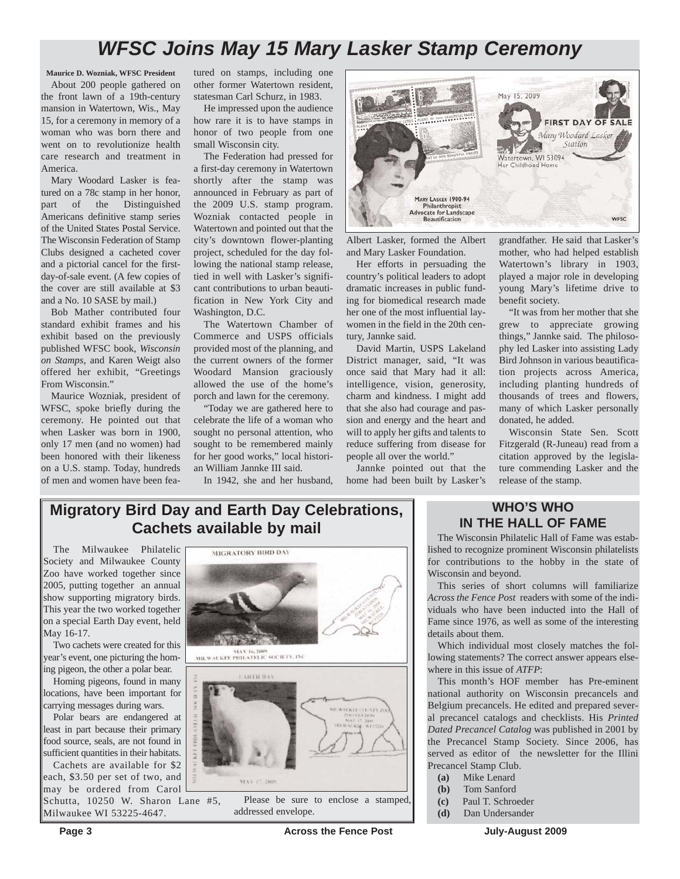# *WFSC Joins May 15 Mary Lasker Stamp Ceremony*

**Maurice D. Wozniak, WFSC President** About 200 people gathered on the front lawn of a 19th-century mansion in Watertown, Wis., May 15, for a ceremony in memory of a woman who was born there and went on to revolutionize health care research and treatment in America.

Mary Woodard Lasker is featured on a 78c stamp in her honor, part of the Distinguished Americans definitive stamp series of the United States Postal Service. The Wisconsin Federation of Stamp Clubs designed a cacheted cover and a pictorial cancel for the firstday-of-sale event. (A few copies of the cover are still available at \$3 and a No. 10 SASE by mail.)

Bob Mather contributed four standard exhibit frames and his exhibit based on the previously published WFSC book, *Wisconsin on Stamps*, and Karen Weigt also offered her exhibit, "Greetings From Wisconsin."

Maurice Wozniak, president of WFSC, spoke briefly during the ceremony. He pointed out that when Lasker was born in 1900, only 17 men (and no women) had been honored with their likeness on a U.S. stamp. Today, hundreds of men and women have been fea-

tured on stamps, including one other former Watertown resident, statesman Carl Schurz, in 1983.

He impressed upon the audience how rare it is to have stamps in honor of two people from one small Wisconsin city.

The Federation had pressed for a first-day ceremony in Watertown shortly after the stamp was announced in February as part of the 2009 U.S. stamp program. Wozniak contacted people in Watertown and pointed out that the city's downtown flower-planting project, scheduled for the day following the national stamp release, tied in well with Lasker's significant contributions to urban beautification in New York City and Washington, D.C.

The Watertown Chamber of Commerce and USPS officials provided most of the planning, and the current owners of the former Woodard Mansion graciously allowed the use of the home's porch and lawn for the ceremony.

"Today we are gathered here to celebrate the life of a woman who sought no personal attention, who sought to be remembered mainly for her good works," local historian William Jannke III said.

In 1942, she and her husband,



Albert Lasker, formed the Albert and Mary Lasker Foundation.

Her efforts in persuading the country's political leaders to adopt dramatic increases in public funding for biomedical research made her one of the most influential laywomen in the field in the 20th century, Jannke said.

David Martin, USPS Lakeland District manager, said, "It was once said that Mary had it all: intelligence, vision, generosity, charm and kindness. I might add that she also had courage and passion and energy and the heart and will to apply her gifts and talents to reduce suffering from disease for people all over the world." Jannke pointed out that the

home had been built by Lasker's

grandfather. He said that Lasker's mother, who had helped establish Watertown's library in 1903, played a major role in developing young Mary's lifetime drive to benefit society.

"It was from her mother that she grew to appreciate growing things," Jannke said. The philosophy led Lasker into assisting Lady Bird Johnson in various beautification projects across America, including planting hundreds of thousands of trees and flowers, many of which Lasker personally donated, he added.

Wisconsin State Sen. Scott Fitzgerald (R-Juneau) read from a citation approved by the legislature commending Lasker and the release of the stamp.

### **Migratory Bird Day and Earth Day Celebrations, Cachets available by mail**

The Milwaukee Philatelic Society and Milwaukee County Zoo have worked together since 2005, putting together an annual show supporting migratory birds. This year the two worked together on a special Earth Day event, held May 16-17.

Two cachets were created for this year's event, one picturing the homing pigeon, the other a polar bear.

Homing pigeons, found in many locations, have been important for carrying messages during wars.

Polar bears are endangered at least in part because their primary food source, seals, are not found in sufficient quantities in their habitats.

Cachets are available for \$2 each, \$3.50 per set of two, and may be ordered from Carol Schutta, 10250 W. Sharon Lane #5,

Milwaukee WI 53225-4647.



addressed envelope.

#### **WHO'S WHO IN THE HALL OF FAME**

The Wisconsin Philatelic Hall of Fame was established to recognize prominent Wisconsin philatelists for contributions to the hobby in the state of Wisconsin and beyond.

This series of short columns will familiarize *Across the Fence Post* readers with some of the individuals who have been inducted into the Hall of Fame since 1976, as well as some of the interesting details about them.

Which individual most closely matches the following statements? The correct answer appears elsewhere in this issue of *ATFP*:

This month's HOF member has Pre-eminent national authority on Wisconsin precancels and Belgium precancels. He edited and prepared several precancel catalogs and checklists. His *Printed Dated Precancel Catalog* was published in 2001 by the Precancel Stamp Society. Since 2006, has served as editor of the newsletter for the Illini Precancel Stamp Club.

- **(a)** Mike Lenard
- **(b)** Tom Sanford
- **(c)** Paul T. Schroeder
- **(d)** Dan Undersander

**Page 3** Across the Fence Post July-August 2009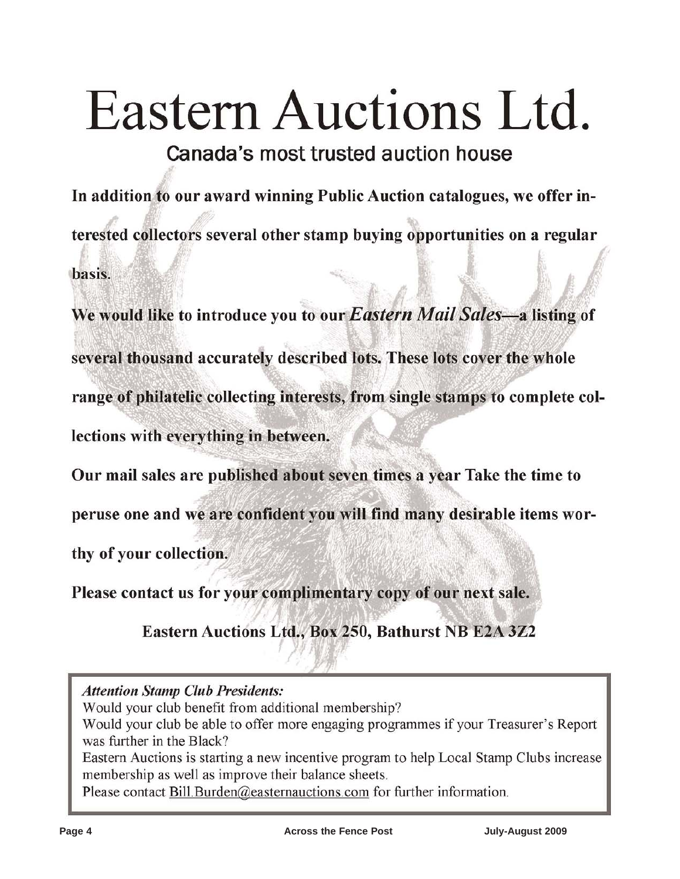# Eastern Auctions Ltd.

Canada's most trusted auction house

In addition to our award winning Public Auction catalogues, we offer interested collectors several other stamp buying opportunities on a regular basis.

We would like to introduce you to our Eastern Mail Sales-a listing of several thousand accurately described lots. These lots cover the whole range of philatelic collecting interests, from single stamps to complete collections with everything in between.

Our mail sales are published about seven times a year Take the time to

peruse one and we are confident you will find many desirable items wor-

thy of your collection.

Please contact us for your complimentary copy of our next sale.

Eastern Auctions Ltd., Box 250, Bathurst NB E2A 3Z2

**Attention Stamp Club Presidents:** 

Would your club benefit from additional membership?

Would your club be able to offer more engaging programmes if your Treasurer's Report was further in the Black?

Eastern Auctions is starting a new incentive program to help Local Stamp Clubs increase membership as well as improve their balance sheets.

Please contact Bill Burden@easternauctions.com for further information.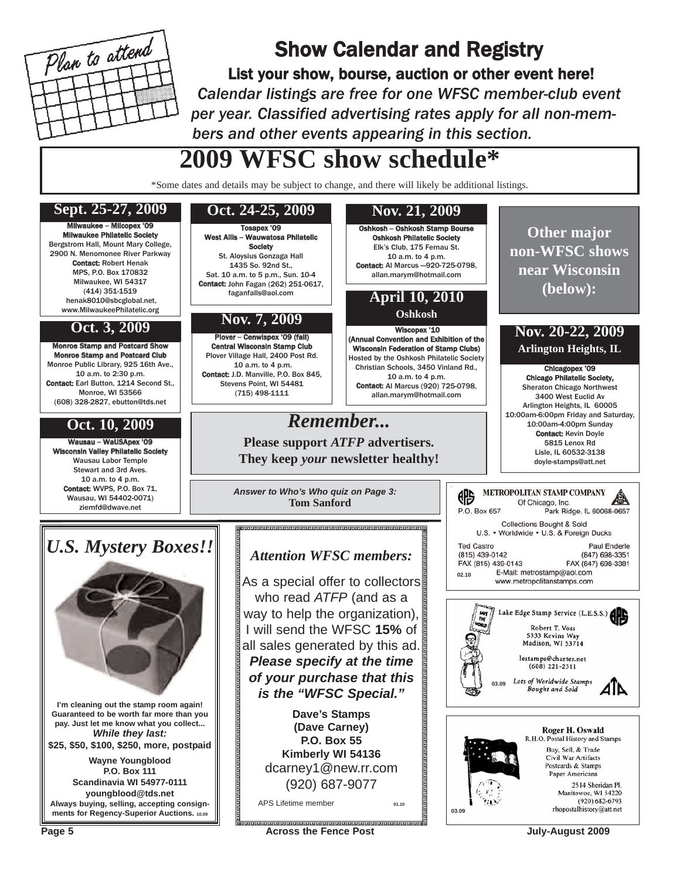

# Show Calendar and Registry

List your show, bourse, auction or other event here! *Calendar listings are free for one WFSC member-club event per year. Classified advertising rates apply for all non-members and other events appearing in this section.*

# **2009 WFSC show schedule\***

\*Some dates and details may be subject to change, and there will likely be additional listings.